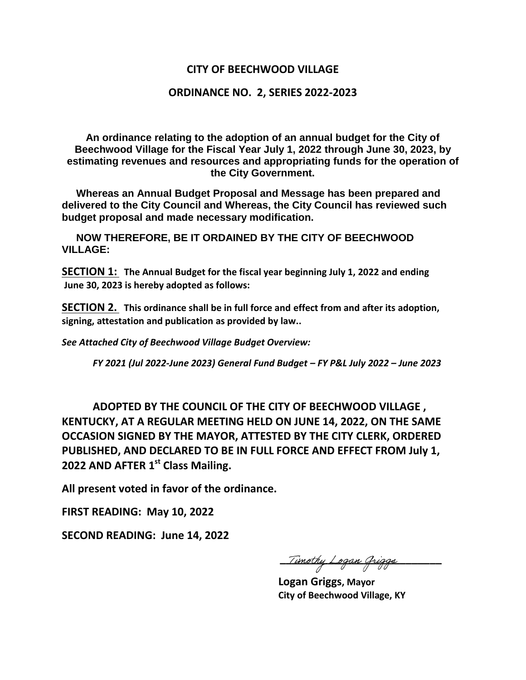## **CITY OF BEECHWOOD VILLAGE**

## **ORDINANCE NO. 2, SERIES 2022-2023**

**An ordinance relating to the adoption of an annual budget for the City of Beechwood Village for the Fiscal Year July 1, 2022 through June 30, 2023, by estimating revenues and resources and appropriating funds for the operation of the City Government.** 

 **Whereas an Annual Budget Proposal and Message has been prepared and delivered to the City Council and Whereas, the City Council has reviewed such budget proposal and made necessary modification.** 

 **NOW THEREFORE, BE IT ORDAINED BY THE CITY OF BEECHWOOD VILLAGE:** 

**SECTION 1: The Annual Budget for the fiscal year beginning July 1, 2022 and ending June 30, 2023 is hereby adopted as follows:** 

**SECTION 2. This ordinance shall be in full force and effect from and after its adoption, signing, attestation and publication as provided by law..** 

*See Attached City of Beechwood Village Budget Overview:* 

*FY 2021 (Jul 2022-June 2023) General Fund Budget – FY P&L July 2022 – June 2023* 

**ADOPTED BY THE COUNCIL OF THE CITY OF BEECHWOOD VILLAGE , KENTUCKY, AT A REGULAR MEETING HELD ON JUNE 14, 2022, ON THE SAME OCCASION SIGNED BY THE MAYOR, ATTESTED BY THE CITY CLERK, ORDERED PUBLISHED, AND DECLARED TO BE IN FULL FORCE AND EFFECT FROM July 1, 2022 AND AFTER 1st Class Mailing.** 

**All present voted in favor of the ordinance.** 

**FIRST READING: May 10, 2022** 

**SECOND READING: June 14, 2022** 

<u> Timothy Logan Griggs</u>

 **Logan Griggs, Mayor City of Beechwood Village, KY**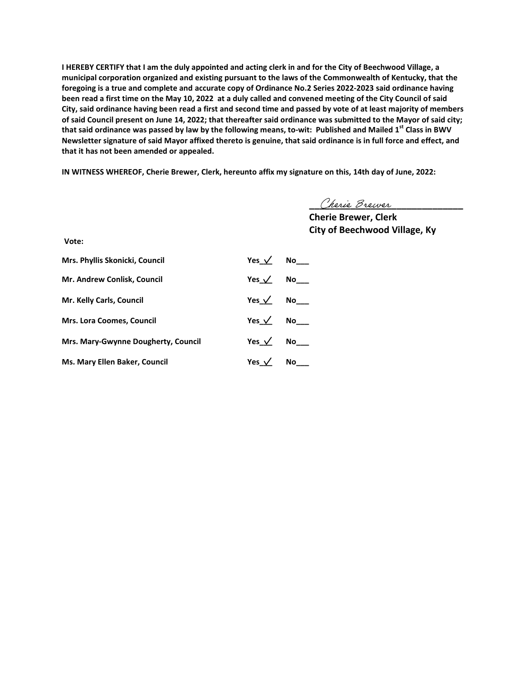**I HEREBY CERTIFY that I am the duly appointed and acting clerk in and for the City of Beechwood Village, a municipal corporation organized and existing pursuant to the laws of the Commonwealth of Kentucky, that the foregoing is a true and complete and accurate copy of Ordinance No.2 Series 2022-2023 said ordinance having been read a first time on the May 10, 2022 at a duly called and convened meeting of the City Council of said City, said ordinance having been read a first and second time and passed by vote of at least majority of members of said Council present on June 14, 2022; that thereafter said ordinance was submitted to the Mayor of said city; that said ordinance was passed by law by the following means, to-wit: Published and Mailed 1st Class in BWV Newsletter signature of said Mayor affixed thereto is genuine, that said ordinance is in full force and effect, and that it has not been amended or appealed.** 

**IN WITNESS WHEREOF, Cherie Brewer, Clerk, hereunto affix my signature on this, 14th day of June, 2022:** 

Cherie Brewer

 *Cherie Brewer, Clerk* **Cherie Brewer, Clerk City of Beechwood Village, Ky** 

**Vote:** 

| Mrs. Phyllis Skonicki, Council      | Yes $\sqrt{ }$ No          |  |
|-------------------------------------|----------------------------|--|
| Mr. Andrew Conlisk, Council         | Yes $\sqrt{}$ No $\sqrt{}$ |  |
| Mr. Kelly Carls, Council            | Yes $\sqrt{}$ No $\sqrt{}$ |  |
| <b>Mrs. Lora Coomes, Council</b>    | Yes $\sqrt{}$ No $\sqrt{}$ |  |
| Mrs. Mary-Gwynne Dougherty, Council | Yes $\sqrt{}$ No $\sqrt{}$ |  |
| Ms. Mary Ellen Baker, Council       | Yes $\angle$ No_____       |  |